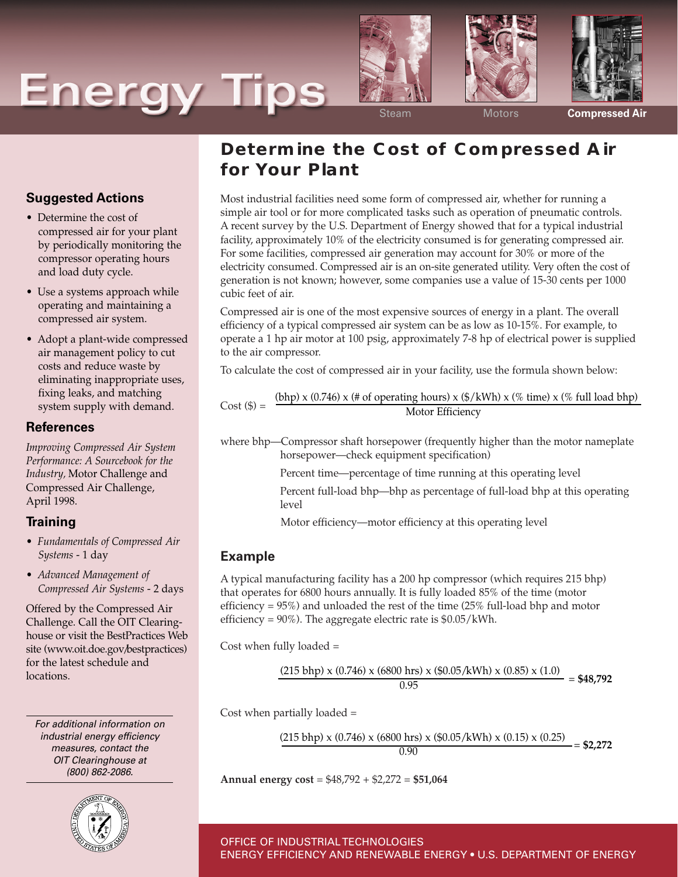# **Energy Tips**







Steam Motors **Compressed Air**

## **Determine the Cost of Compressed Air for Your Plant**

Most industrial facilities need some form of compressed air, whether for running a simple air tool or for more complicated tasks such as operation of pneumatic controls. A recent survey by the U.S. Department of Energy showed that for a typical industrial facility, approximately 10% of the electricity consumed is for generating compressed air. For some facilities, compressed air generation may account for 30% or more of the electricity consumed. Compressed air is an on-site generated utility. Very often the cost of generation is not known; however, some companies use a value of 15-30 cents per 1000 cubic feet of air.

Compressed air is one of the most expensive sources of energy in a plant. The overall efficiency of a typical compressed air system can be as low as 10-15%. For example, to operate a 1 hp air motor at 100 psig, approximately 7-8 hp of electrical power is supplied to the air compressor.

To calculate the cost of compressed air in your facility, use the formula shown below:

Cost (\$) = 
$$
\frac{(bhp) \times (0.746) \times (\# \text{ of operating hours}) \times (\$/kWh) \times (\% \text{ time}) \times (\% \text{ full load bhp})}{\text{Motor Efficiency}}
$$

where bhp—Compressor shaft horsepower (frequently higher than the motor nameplate horsepower—check equipment specification)

Percent time—percentage of time running at this operating level

Percent full-load bhp—bhp as percentage of full-load bhp at this operating level

Motor efficiency—motor efficiency at this operating level

### **Example**

A typical manufacturing facility has a 200 hp compressor (which requires 215 bhp) that operates for 6800 hours annually. It is fully loaded 85% of the time (motor efficiency = 95%) and unloaded the rest of the time (25% full-load bhp and motor efficiency =  $90\%$ ). The aggregate electric rate is  $$0.05/kWh$ .

Cost when fully loaded =

$$
\frac{(215 \text{ bhp}) \times (0.746) \times (6800 \text{ hrs}) \times (\$0.05/\text{kWh}) \times (0.85) \times (1.0)}{0.95} = \$48,792
$$

Cost when partially loaded =

$$
\frac{(215 \text{ bhp}) \times (0.746) \times (6800 \text{ hrs}) \times (\$0.05/\text{kWh}) \times (0.15) \times (0.25)}{0.90} = \$2,272
$$

**Annual energy cost** = \$48,792 + \$2,272 = **\$51,064**

## OFFICE OF INDUSTRIAL TECHNOLOGIES ENERGY EFFICIENCY AND RENEWABLE ENERGY • U.S. DEPARTMENT OF ENERGY

**Suggested Actions**

- Determine the cost of compressed air for your plant by periodically monitoring the compressor operating hours and load duty cycle.
- Use a systems approach while operating and maintaining a compressed air system.
- Adopt a plant-wide compressed air management policy to cut costs and reduce waste by eliminating inappropriate uses, fixing leaks, and matching system supply with demand.

#### **References**

*Improving Compressed Air System Performance: A Sourcebook for the Industry,* Motor Challenge and Compressed Air Challenge, April 1998.

### **Training**

- *Fundamentals of Compressed Air Systems* - 1 day
- *Advanced Management of Compressed Air Systems* - 2 days

Offered by the Compressed Air Challenge. Call the OIT Clearinghouse or visit the BestPractices Web site (www.oit.doe.gov/bestpractices) for the latest schedule and locations.

For additional information on industrial energy efficiency measures, contact the OIT Clearinghouse at (800) 862-2086.